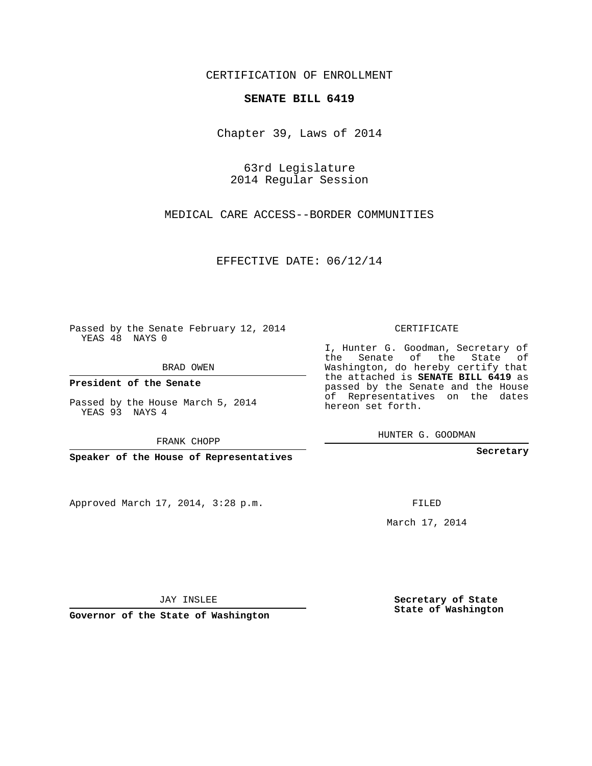### CERTIFICATION OF ENROLLMENT

### **SENATE BILL 6419**

Chapter 39, Laws of 2014

63rd Legislature 2014 Regular Session

MEDICAL CARE ACCESS--BORDER COMMUNITIES

EFFECTIVE DATE: 06/12/14

Passed by the Senate February 12, 2014 YEAS 48 NAYS 0

BRAD OWEN

**President of the Senate**

Passed by the House March 5, 2014 YEAS 93 NAYS 4

FRANK CHOPP

**Speaker of the House of Representatives**

Approved March 17, 2014, 3:28 p.m.

CERTIFICATE

I, Hunter G. Goodman, Secretary of the Senate of the State of Washington, do hereby certify that the attached is **SENATE BILL 6419** as passed by the Senate and the House of Representatives on the dates hereon set forth.

HUNTER G. GOODMAN

**Secretary**

March 17, 2014

**Secretary of State State of Washington**

JAY INSLEE

**Governor of the State of Washington**

FILED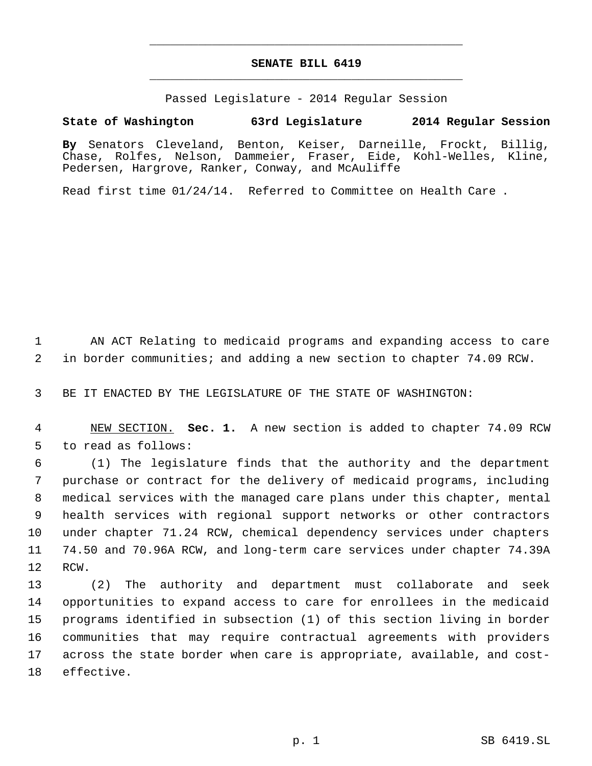# **SENATE BILL 6419** \_\_\_\_\_\_\_\_\_\_\_\_\_\_\_\_\_\_\_\_\_\_\_\_\_\_\_\_\_\_\_\_\_\_\_\_\_\_\_\_\_\_\_\_\_

\_\_\_\_\_\_\_\_\_\_\_\_\_\_\_\_\_\_\_\_\_\_\_\_\_\_\_\_\_\_\_\_\_\_\_\_\_\_\_\_\_\_\_\_\_

Passed Legislature - 2014 Regular Session

## **State of Washington 63rd Legislature 2014 Regular Session**

**By** Senators Cleveland, Benton, Keiser, Darneille, Frockt, Billig, Chase, Rolfes, Nelson, Dammeier, Fraser, Eide, Kohl-Welles, Kline, Pedersen, Hargrove, Ranker, Conway, and McAuliffe

Read first time 01/24/14. Referred to Committee on Health Care .

 AN ACT Relating to medicaid programs and expanding access to care in border communities; and adding a new section to chapter 74.09 RCW.

BE IT ENACTED BY THE LEGISLATURE OF THE STATE OF WASHINGTON:

 NEW SECTION. **Sec. 1.** A new section is added to chapter 74.09 RCW to read as follows:

 (1) The legislature finds that the authority and the department purchase or contract for the delivery of medicaid programs, including medical services with the managed care plans under this chapter, mental health services with regional support networks or other contractors under chapter 71.24 RCW, chemical dependency services under chapters 74.50 and 70.96A RCW, and long-term care services under chapter 74.39A RCW.

 (2) The authority and department must collaborate and seek opportunities to expand access to care for enrollees in the medicaid programs identified in subsection (1) of this section living in border communities that may require contractual agreements with providers across the state border when care is appropriate, available, and cost-effective.